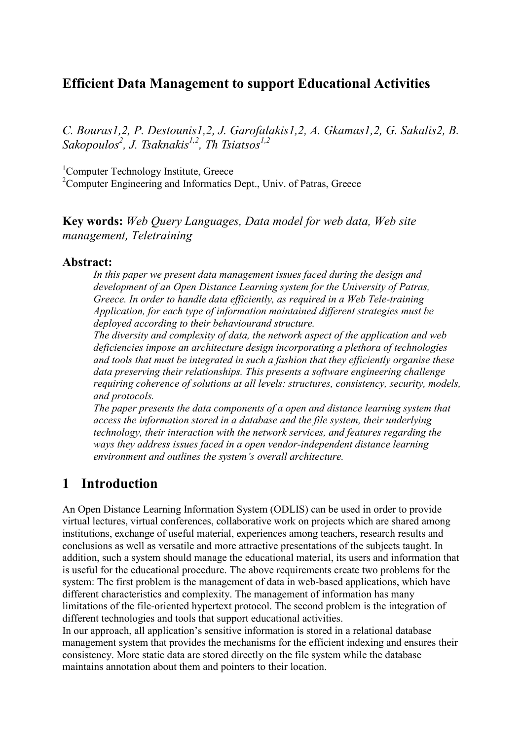### **Efficient Data Management to support Educational Activities**

*C. Bouras1,2, P. Destounis1,2, J. Garofalakis1,2, A. Gkamas1,2, G. Sakalis2, B. Sakopoulos2 , J. Tsaknakis1,2, Th Tsiatsos1,2*

<sup>1</sup>Computer Technology Institute, Greece

<sup>2</sup>Computer Engineering and Informatics Dept., Univ. of Patras, Greece

**Key words:** *Web Query Languages, Data model for web data, Web site management, Teletraining*

#### **Abstract:**

*In this paper we present data management issues faced during the design and development of an Open Distance Learning system for the University of Patras, Greece. In order to handle data efficiently, as required in a Web Tele-training Application, for each type of information maintained different strategies must be deployed according to their behaviourand structure.*

*The diversity and complexity of data, the network aspect of the application and web deficiencies impose an architecture design incorporating a plethora of technologies and tools that must be integrated in such a fashion that they efficiently organise these data preserving their relationships. This presents a software engineering challenge requiring coherence of solutions at all levels: structures, consistency, security, models, and protocols.*

*The paper presents the data components of a open and distance learning system that access the information stored in a database and the file system, their underlying technology, their interaction with the network services, and features regarding the ways they address issues faced in a open vendor-independent distance learning environment and outlines the system's overall architecture.*

### **1 Introduction**

An Open Distance Learning Information System (ODLIS) can be used in order to provide virtual lectures, virtual conferences, collaborative work on projects which are shared among institutions, exchange of useful material, experiences among teachers, research results and conclusions as well as versatile and more attractive presentations of the subjects taught. In addition, such a system should manage the educational material, its users and information that is useful for the educational procedure. The above requirements create two problems for the system: The first problem is the management of data in web-based applications, which have different characteristics and complexity. The management of information has many limitations of the file-oriented hypertext protocol. The second problem is the integration of different technologies and tools that support educational activities.

In our approach, all application's sensitive information is stored in a relational database management system that provides the mechanisms for the efficient indexing and ensures their consistency. More static data are stored directly on the file system while the database maintains annotation about them and pointers to their location.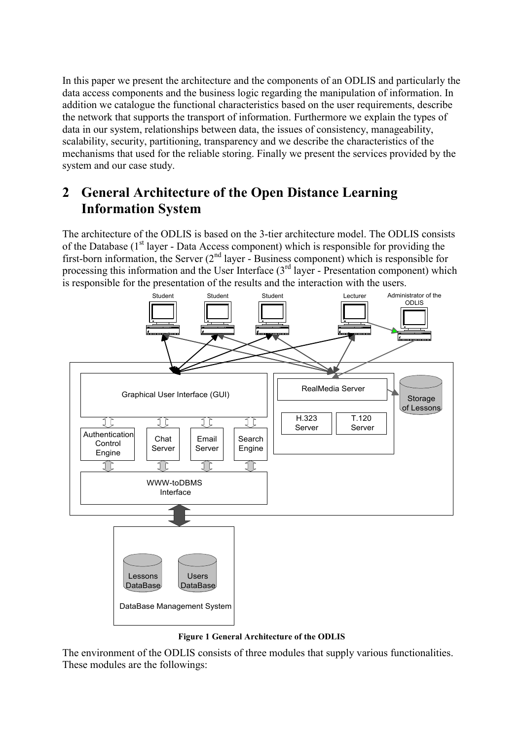In this paper we present the architecture and the components of an ODLIS and particularly the data access components and the business logic regarding the manipulation of information. In addition we catalogue the functional characteristics based on the user requirements, describe the network that supports the transport of information. Furthermore we explain the types of data in our system, relationships between data, the issues of consistency, manageability, scalability, security, partitioning, transparency and we describe the characteristics of the mechanisms that used for the reliable storing. Finally we present the services provided by the system and our case study.

# **2 General Architecture of the Open Distance Learning Information System**

The architecture of the ODLIS is based on the 3-tier architecture model. The ODLIS consists of the Database  $(1<sup>st</sup> layer - Data Access component)$  which is responsible for providing the first-born information, the Server  $(2^{nd}$  layer - Business component) which is responsible for processing this information and the User Interface (3<sup>rd</sup> layer - Presentation component) which is responsible for the presentation of the results and the interaction with the users.





The environment of the ODLIS consists of three modules that supply various functionalities. These modules are the followings: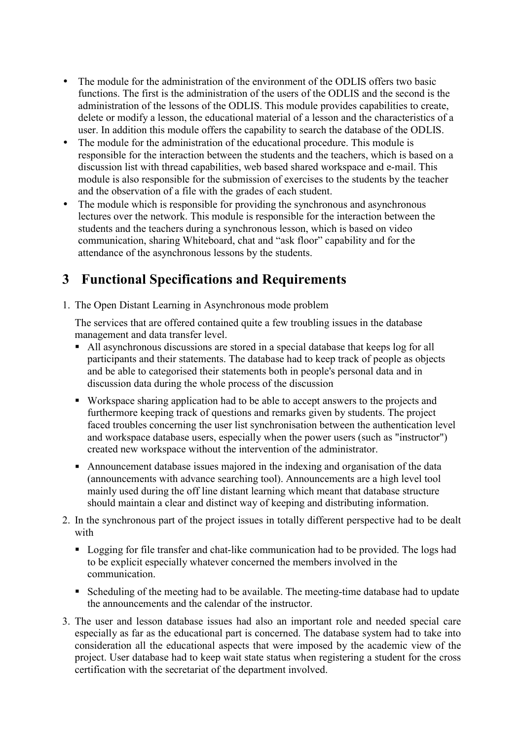- The module for the administration of the environment of the ODLIS offers two basic functions. The first is the administration of the users of the ODLIS and the second is the administration of the lessons of the ODLIS. This module provides capabilities to create, delete or modify a lesson, the educational material of a lesson and the characteristics of a user. In addition this module offers the capability to search the database of the ODLIS.
- The module for the administration of the educational procedure. This module is responsible for the interaction between the students and the teachers, which is based on a discussion list with thread capabilities, web based shared workspace and e-mail. This module is also responsible for the submission of exercises to the students by the teacher and the observation of a file with the grades of each student.
- The module which is responsible for providing the synchronous and asynchronous lectures over the network. This module is responsible for the interaction between the students and the teachers during a synchronous lesson, which is based on video communication, sharing Whiteboard, chat and "ask floor" capability and for the attendance of the asynchronous lessons by the students.

# **3 Functional Specifications and Requirements**

1. The Open Distant Learning in Asynchronous mode problem

The services that are offered contained quite a few troubling issues in the database management and data transfer level.

- ! All asynchronous discussions are stored in a special database that keeps log for all participants and their statements. The database had to keep track of people as objects and be able to categorised their statements both in people's personal data and in discussion data during the whole process of the discussion
- ! Workspace sharing application had to be able to accept answers to the projects and furthermore keeping track of questions and remarks given by students. The project faced troubles concerning the user list synchronisation between the authentication level and workspace database users, especially when the power users (such as "instructor") created new workspace without the intervention of the administrator.
- ! Announcement database issues majored in the indexing and organisation of the data (announcements with advance searching tool). Announcements are a high level tool mainly used during the off line distant learning which meant that database structure should maintain a clear and distinct way of keeping and distributing information.
- 2. In the synchronous part of the project issues in totally different perspective had to be dealt with
	- ! Logging for file transfer and chat-like communication had to be provided. The logs had to be explicit especially whatever concerned the members involved in the communication.
	- ! Scheduling of the meeting had to be available. The meeting-time database had to update the announcements and the calendar of the instructor.
- 3. The user and lesson database issues had also an important role and needed special care especially as far as the educational part is concerned. The database system had to take into consideration all the educational aspects that were imposed by the academic view of the project. User database had to keep wait state status when registering a student for the cross certification with the secretariat of the department involved.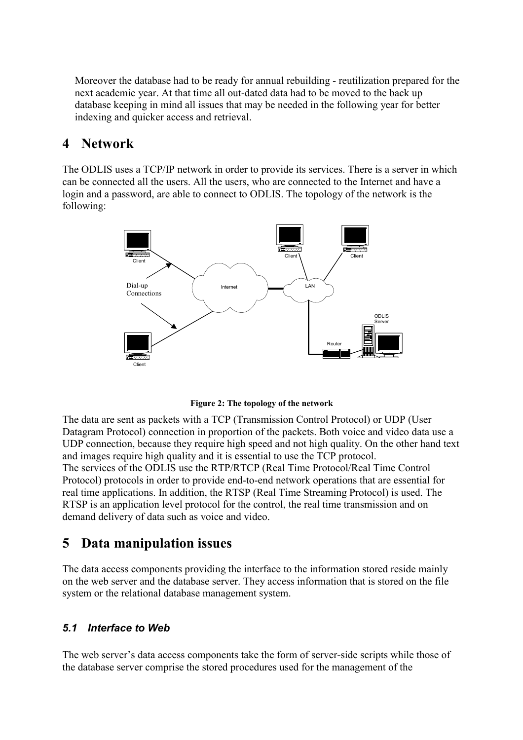Moreover the database had to be ready for annual rebuilding - reutilization prepared for the next academic year. At that time all out-dated data had to be moved to the back up database keeping in mind all issues that may be needed in the following year for better indexing and quicker access and retrieval.

## **4 Network**

The ODLIS uses a TCP/IP network in order to provide its services. There is a server in which can be connected all the users. All the users, who are connected to the Internet and have a login and a password, are able to connect to ODLIS. The topology of the network is the following:



**Figure 2: The topology of the network**

The data are sent as packets with a TCP (Transmission Control Protocol) or UDP (User Datagram Protocol) connection in proportion of the packets. Both voice and video data use a UDP connection, because they require high speed and not high quality. On the other hand text and images require high quality and it is essential to use the TCP protocol. The services of the ODLIS use the RTP/RTCP (Real Time Protocol/Real Time Control Protocol) protocols in order to provide end-to-end network operations that are essential for real time applications. In addition, the RTSP (Real Time Streaming Protocol) is used. The RTSP is an application level protocol for the control, the real time transmission and on demand delivery of data such as voice and video.

## **5 Data manipulation issues**

The data access components providing the interface to the information stored reside mainly on the web server and the database server. They access information that is stored on the file system or the relational database management system.

#### *5.1 Interface to Web*

The web server's data access components take the form of server-side scripts while those of the database server comprise the stored procedures used for the management of the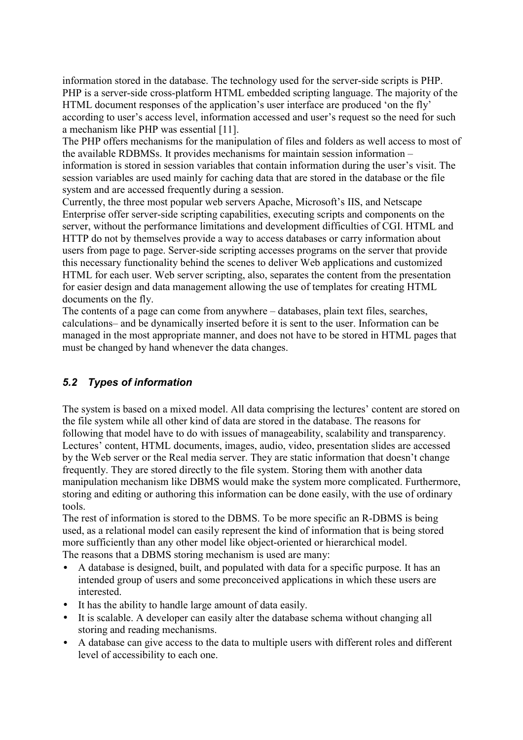information stored in the database. The technology used for the server-side scripts is PHP. PHP is a server-side cross-platform HTML embedded scripting language. The majority of the HTML document responses of the application's user interface are produced 'on the fly' according to user's access level, information accessed and user's request so the need for such a mechanism like PHP was essential [11].

The PHP offers mechanisms for the manipulation of files and folders as well access to most of the available RDBMSs. It provides mechanisms for maintain session information – information is stored in session variables that contain information during the user's visit. The session variables are used mainly for caching data that are stored in the database or the file system and are accessed frequently during a session.

Currently, the three most popular web servers Apache, Microsoft's IIS, and Netscape Enterprise offer server-side scripting capabilities, executing scripts and components on the server, without the performance limitations and development difficulties of CGI. HTML and HTTP do not by themselves provide a way to access databases or carry information about users from page to page. Server-side scripting accesses programs on the server that provide this necessary functionality behind the scenes to deliver Web applications and customized HTML for each user. Web server scripting, also, separates the content from the presentation for easier design and data management allowing the use of templates for creating HTML documents on the fly.

The contents of a page can come from anywhere – databases, plain text files, searches, calculations– and be dynamically inserted before it is sent to the user. Information can be managed in the most appropriate manner, and does not have to be stored in HTML pages that must be changed by hand whenever the data changes.

#### *5.2 Types of information*

The system is based on a mixed model. All data comprising the lectures' content are stored on the file system while all other kind of data are stored in the database. The reasons for following that model have to do with issues of manageability, scalability and transparency. Lectures' content, HTML documents, images, audio, video, presentation slides are accessed by the Web server or the Real media server. They are static information that doesn't change frequently. They are stored directly to the file system. Storing them with another data manipulation mechanism like DBMS would make the system more complicated. Furthermore, storing and editing or authoring this information can be done easily, with the use of ordinary tools.

The rest of information is stored to the DBMS. To be more specific an R-DBMS is being used, as a relational model can easily represent the kind of information that is being stored more sufficiently than any other model like object-oriented or hierarchical model. The reasons that a DBMS storing mechanism is used are many:

- A database is designed, built, and populated with data for a specific purpose. It has an intended group of users and some preconceived applications in which these users are interested.
- It has the ability to handle large amount of data easily.
- It is scalable. A developer can easily alter the database schema without changing all storing and reading mechanisms.
- A database can give access to the data to multiple users with different roles and different level of accessibility to each one.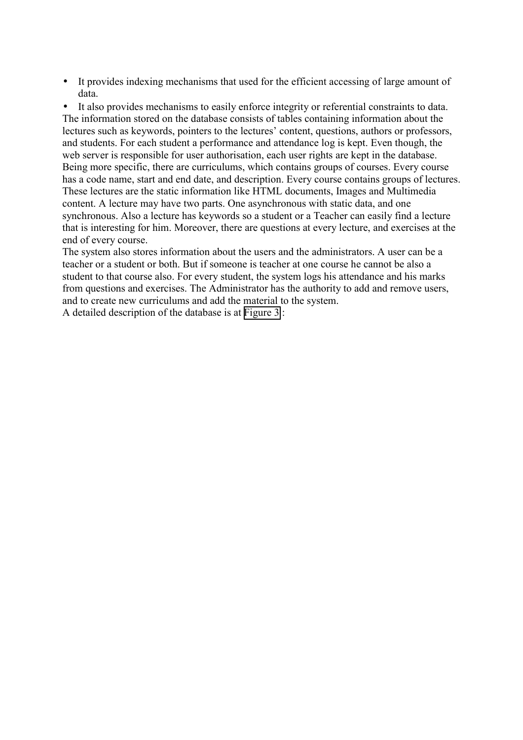• It provides indexing mechanisms that used for the efficient accessing of large amount of data.

It also provides mechanisms to easily enforce integrity or referential constraints to data. The information stored on the database consists of tables containing information about the lectures such as keywords, pointers to the lectures' content, questions, authors or professors, and students. For each student a performance and attendance log is kept. Even though, the web server is responsible for user authorisation, each user rights are kept in the database. Being more specific, there are curriculums, which contains groups of courses. Every course has a code name, start and end date, and description. Every course contains groups of lectures. These lectures are the static information like HTML documents, Images and Multimedia content. A lecture may have two parts. One asynchronous with static data, and one synchronous. Also a lecture has keywords so a student or a Teacher can easily find a lecture that is interesting for him. Moreover, there are questions at every lecture, and exercises at the end of every course.

The system also stores information about the users and the administrators. A user can be a teacher or a student or both. But if someone is teacher at one course he cannot be also a student to that course also. For every student, the system logs his attendance and his marks from questions and exercises. The Administrator has the authority to add and remove users, and to create new curriculums and add the material to the system.

A detailed description of the database is at [Figure 3](#page-6-0) :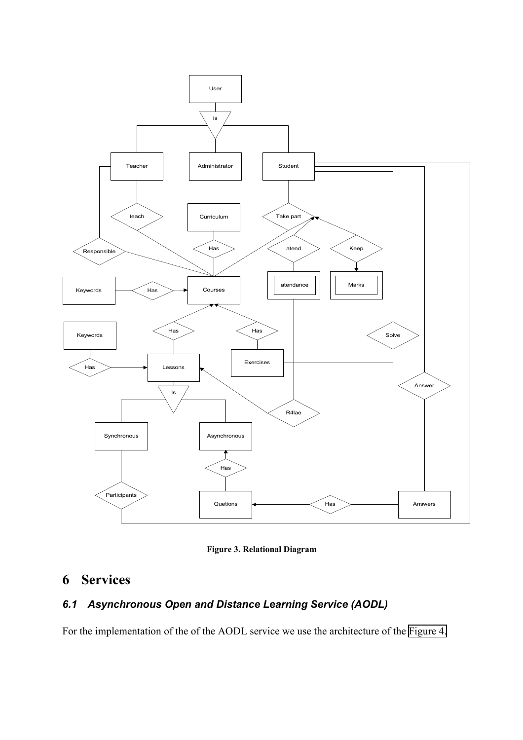<span id="page-6-0"></span>

**Figure 3. Relational Diagram**

# **6 Services**

## *6.1 Asynchronous Open and Distance Learning Service (AODL)*

For the implementation of the of the AODL service we use the architecture of the [Figure 4.](#page-7-0)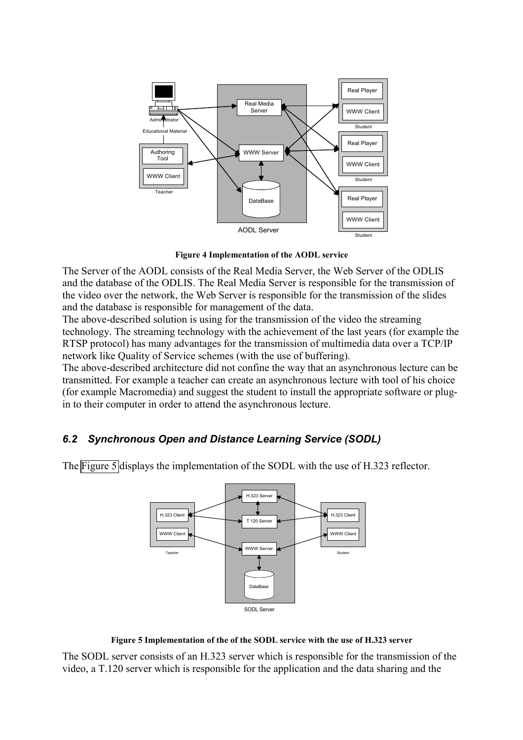<span id="page-7-0"></span>

**Figure 4 Implementation of the AODL service**

The Server of the AODL consists of the Real Media Server, the Web Server of the ODLIS and the database of the ODLIS. The Real Media Server is responsible for the transmission of the video over the network, the Web Server is responsible for the transmission of the slides and the database is responsible for management of the data.

The above-described solution is using for the transmission of the video the streaming technology. The streaming technology with the achievement of the last years (for example the RTSP protocol) has many advantages for the transmission of multimedia data over a TCP/IP network like Quality of Service schemes (with the use of buffering).

The above-described architecture did not confine the way that an asynchronous lecture can be transmitted. For example a teacher can create an asynchronous lecture with tool of his choice (for example Macromedia) and suggest the student to install the appropriate software or plugin to their computer in order to attend the asynchronous lecture.

### *6.2 Synchronous Open and Distance Learning Service (SODL)*

The Figure 5 displays the implementation of the SODL with the use of H.323 reflector.





The SODL server consists of an H.323 server which is responsible for the transmission of the video, a T.120 server which is responsible for the application and the data sharing and the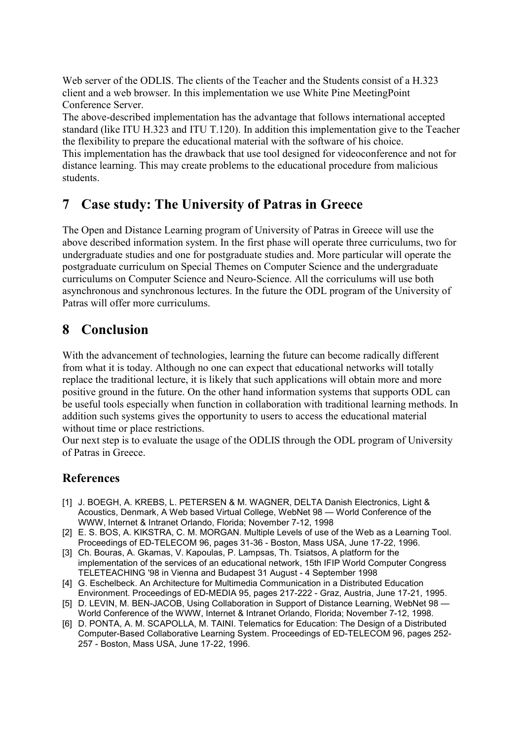Web server of the ODLIS. The clients of the Teacher and the Students consist of a H.323 client and a web browser. In this implementation we use White Pine MeetingPoint Conference Server.

The above-described implementation has the advantage that follows international accepted standard (like ITU H.323 and ITU T.120). In addition this implementation give to the Teacher the flexibility to prepare the educational material with the software of his choice. This implementation has the drawback that use tool designed for videoconference and not for distance learning. This may create problems to the educational procedure from malicious students.

## **7 Case study: The University of Patras in Greece**

The Open and Distance Learning program of University of Patras in Greece will use the above described information system. In the first phase will operate three curriculums, two for undergraduate studies and one for postgraduate studies and. More particular will operate the postgraduate curriculum on Special Themes on Computer Science and the undergraduate curriculums on Computer Science and Neuro-Science. All the corriculums will use both asynchronous and synchronous lectures. In the future the ODL program of the University of Patras will offer more curriculums.

## **8 Conclusion**

With the advancement of technologies, learning the future can become radically different from what it is today. Although no one can expect that educational networks will totally replace the traditional lecture, it is likely that such applications will obtain more and more positive ground in the future. On the other hand information systems that supports ODL can be useful tools especially when function in collaboration with traditional learning methods. In addition such systems gives the opportunity to users to access the educational material without time or place restrictions.

Our next step is to evaluate the usage of the ODLIS through the ODL program of University of Patras in Greece.

#### **References**

- [1] J. BOEGH, A. KREBS, L. PETERSEN & M. WAGNER, DELTA Danish Electronics, Light & Acoustics, Denmark, A Web based Virtual College, WebNet 98 — World Conference of the WWW, Internet & Intranet Orlando, Florida; November 7-12, 1998
- [2] E. S. BOS, A. KIKSTRA, C. M. MORGAN. Multiple Levels of use of the Web as a Learning Tool. Proceedings of ED-TELECOM 96, pages 31-36 - Boston, Mass USA, June 17-22, 1996.
- [3] Ch. Bouras, A. Gkamas, V. Kapoulas, P. Lampsas, Th. Tsiatsos, A platform for the implementation of the services of an educational network, 15th IFIP World Computer Congress TELETEACHING '98 in Vienna and Budapest 31 August - 4 September 1998
- [4] G. Eschelbeck. An Architecture for Multimedia Communication in a Distributed Education Environment. Proceedings of ED-MEDIA 95, pages 217-222 - Graz, Austria, June 17-21, 1995.
- [5] D. LEVIN, M. BEN-JACOB, Using Collaboration in Support of Distance Learning, WebNet 98 World Conference of the WWW, Internet & Intranet Orlando, Florida; November 7-12, 1998.
- [6] D. PONTA, A. M. SCAPOLLA, M. TAINI. Telematics for Education: The Design of a Distributed Computer-Based Collaborative Learning System. Proceedings of ED-TELECOM 96, pages 252- 257 - Boston, Mass USA, June 17-22, 1996.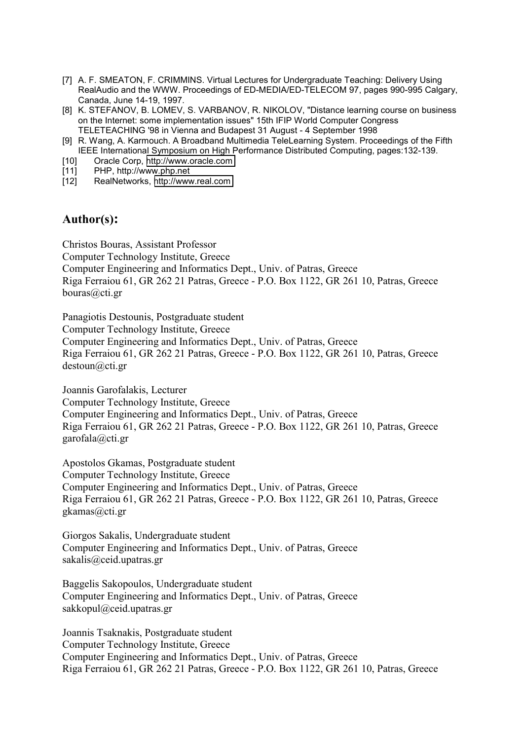- [7] A. F. SMEATON, F. CRIMMINS. Virtual Lectures for Undergraduate Teaching: Delivery Using RealAudio and the WWW. Proceedings of ED-MEDIA/ED-TELECOM 97, pages 990-995 Calgary, Canada, June 14-19, 1997.
- [8] K. STEFANOV, B. LOMEV, S. VARBANOV, R. NIKOLOV, "Distance learning course on business on the Internet: some implementation issues" 15th IFIP World Computer Congress TELETEACHING '98 in Vienna and Budapest 31 August - 4 September 1998
- [9] R. Wang, A. Karmouch. A Broadband Multimedia TeleLearning System. Proceedings of the Fifth IEEE International Symposium on High Performance Distributed Computing, pages:132-139.
- [10] Oracle Corp, [http://www.oracle.com](http://www.oracle.com/)
- [11] PHP, http://www.php.net
- [12] RealNetworks, [http://www.real.com](http://www.real.com/)

#### **Author(s):**

Christos Bouras, Assistant Professor Computer Technology Institute, Greece Computer Engineering and Informatics Dept., Univ. of Patras, Greece Riga Ferraiou 61, GR 262 21 Patras, Greece - P.O. Box 1122, GR 261 10, Patras, Greece bouras@cti.gr

Panagiotis Destounis, Postgraduate student Computer Technology Institute, Greece Computer Engineering and Informatics Dept., Univ. of Patras, Greece Riga Ferraiou 61, GR 262 21 Patras, Greece - P.O. Box 1122, GR 261 10, Patras, Greece destoun@cti.gr

Joannis Garofalakis, Lecturer Computer Technology Institute, Greece Computer Engineering and Informatics Dept., Univ. of Patras, Greece Riga Ferraiou 61, GR 262 21 Patras, Greece - P.O. Box 1122, GR 261 10, Patras, Greece garofala@cti.gr

Apostolos Gkamas, Postgraduate student Computer Technology Institute, Greece Computer Engineering and Informatics Dept., Univ. of Patras, Greece Riga Ferraiou 61, GR 262 21 Patras, Greece - P.O. Box 1122, GR 261 10, Patras, Greece gkamas@cti.gr

Giorgos Sakalis, Undergraduate student Computer Engineering and Informatics Dept., Univ. of Patras, Greece sakalis@ceid.upatras.gr

Baggelis Sakopoulos, Undergraduate student Computer Engineering and Informatics Dept., Univ. of Patras, Greece sakkopul@ceid.upatras.gr

Joannis Tsaknakis, Postgraduate student Computer Technology Institute, Greece Computer Engineering and Informatics Dept., Univ. of Patras, Greece Riga Ferraiou 61, GR 262 21 Patras, Greece - P.O. Box 1122, GR 261 10, Patras, Greece